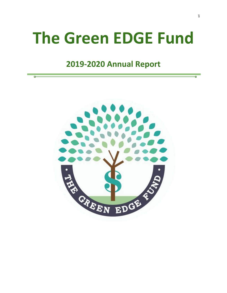# **The Green EDGE Fund**

# **2019-2020 Annual Report**

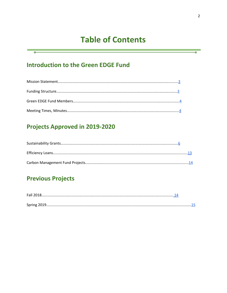# **Table of Contents**

# **Introduction to the Green EDGE Fund**

## **Projects Approved in 2019-2020**

# **Previous Projects**

a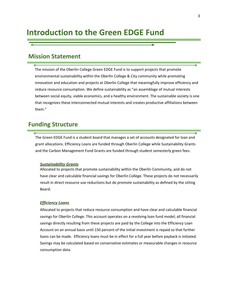# **Introduction to the Green EDGE Fund**

#### <span id="page-2-0"></span>**Mission Statement**

The mission of the Oberlin College Green EDGE Fund is to support projects that promote environmental sustainability within the Oberlin College & City community while promoting innovation and education and projects at Oberlin College that meaningfully improve efficiency and reduce resource consumption. We define sustainability as "an assemblage of mutual interests between social equity, viable economics, and a healthy environment. The sustainable society is one that recognizes these interconnected mutual interests and creates productive affiliations between them."

#### <span id="page-2-1"></span>**Funding Structure**

The Green EDGE Fund is a student board that manages a set of accounts designated for loan and grant allocations. Efficiency Loans are funded through Oberlin College while Sustainability Grants and the Carbon Management Fund Grants are funded through student semesterly green fees.

#### *Sustainability Grants*

Allocated to projects that promote sustainability within the Oberlin Community, and do not have clear and calculable financial savings for Oberlin College. These projects do not necessarily result in direct resource use reductions but do promote sustainability as defined by the sitting Board.

#### *Efficiency Loans*

Allocated to projects that reduce resource consumption and have clear and calculable financial savings for Oberlin College. This account operates on a revolving loan fund model; all financial savings directly resulting from these projects are paid by the College into the Efficiency Loan Account on an annual basis until 150 percent of the initial investment is repaid so that further loans can be made. Efficiency loans must be in effect for a full year before payback is initiated. Savings may be calculated based on conservative estimates or measurable changes in resource consumption data.

A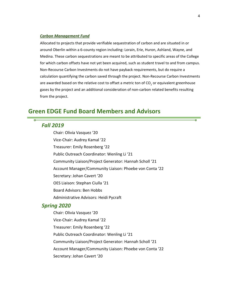#### *Carbon Management Fund*

Allocated to projects that provide verifiable sequestration of carbon and are situated in or around Oberlin within a 6-county region including: Lorain, Erie, Huron, Ashland, Wayne, and Medina. These carbon sequestrations are meant to be attributed to specific areas of the College for which carbon offsets have not yet been acquired, such as student travel to and from campus. Non-Recourse Carbon Investments do not have payback requirements, but do require a calculation quantifying the carbon saved through the project. Non-Recourse Carbon Investments are awarded based on the relative cost to offset a metric ton of  $CO<sub>2</sub>$  or equivalent greenhouse gases by the project and an additional consideration of non-carbon related benefits resulting from the project.

#### <span id="page-3-0"></span>**Green EDGE Fund Board Members and Advisors**

#### *Fall 2019*

Chair: Olivia Vasquez '20 Vice-Chair: Audrey Kamal '22 Treasurer: Emily Rosenberg '22 Public Outreach Coordinator: Wenling Li '21 Community Liaison/Project Generator: Hannah Scholl '21 Account Manager/Community Liaison: Phoebe von Conta '22 Secretary: Johan Cavert '20 OES Liaison: Stephan Ciulla '21 Board Advisors: Ben Hobbs Administrative Advisors: Heidi Pycraft

#### *Spring 2020*

Chair: Olivia Vasquez '20 Vice-Chair: Audrey Kamal '22 Treasurer: Emily Rosenberg '22 Public Outreach Coordinator: Wenling Li '21 Community Liaison/Project Generator: Hannah Scholl '21 Account Manager/Community Liaison: Phoebe von Conta '22 Secretary: Johan Cavert '20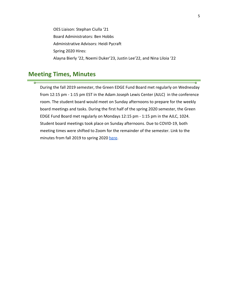OES Liaison: Stephan Ciulla '21 Board Administrators: Ben Hobbs Administrative Advisors: Heidi Pycraft Spring 2020 Hires: Alayna Bierly '22, Noemi Duker'23, Justin Lee'22, and Nina Liloia '22

### <span id="page-4-0"></span>**Meeting Times, Minutes**

 $\overline{\phantom{a}}$ 

During the fall 2019 semester, the Green EDGE Fund Board met regularly on Wednesday from 12:15 pm - 1:15 pm EST in the Adam Joseph Lewis Center (AJLC) in the conference room. The student board would meet on Sunday afternoons to prepare for the weekly board meetings and tasks. During the first half of the spring 2020 semester, the Green EDGE Fund Board met regularly on Mondays 12:15 pm - 1:15 pm in the AJLC, 1024. Student board meetings took place on Sunday afternoons. Due to COVID-19, both meeting times were shifted to Zoom for the remainder of the semester. Link to the minutes from fall 2019 to spring 2020 [here](https://docs.google.com/document/d/1hRMryxE6kdg7Quo5JFR6_lwvHgGtMvLGV3i3Jwf1jKg/edit?usp=sharing).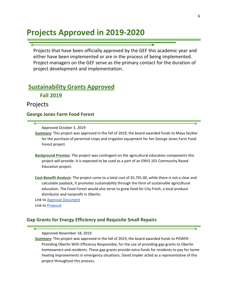# **Projects Approved in 2019-2020**

Projects that have been officially approved by the GEF this academic year and either have been implemented or are in the process of being implemented. Project managers on the GEF serve as the primary contact for the duration of project development and implementation.

#### <span id="page-5-0"></span>**Sustainability Grants Approved**

**Fall 2019**

Projects

#### **George Jones Farm Food Forest**

Approved October 3, 2019

**Summary**: This project was approved in the fall of 2019, the board awarded funds to Maya Seckler for the purchase of perennial crops and irrigation equipment for her George Jones Farm Food Forest project.

- **Background Premise**: The project was contingent on the agricultural education components this project will provide. It is expected to be used as a part of an ENVS 101 Community Based Education project.
- **Cost-Benefit Analysis**: The project came to a total cost of \$5,791.00, while there is not a clear and calculable payback, it promotes sustainability through the form of sustainable agricultural education. The Food Forest would also serve to grow food for City Fresh, a local produce distributor and nonprofit in Oberlin.

Link to Approval [Document](https://drive.google.com/file/d/1UPZ8sm83YuOBcAMlZjVR-oKWhHEDw_Sl/view?usp=sharing) Link to [Proposal](https://drive.google.com/file/d/1DIiaZt9ItIR8uYfYlZC-WTzJ9ZI8VFB4/view?usp=sharing)

#### **Gap Grants for Energy Efficiency and Requisite Small Repairs**

Approved November 18, 2019

**Summary**: This project was approved in the fall of 2019, the board awarded funds to POWER - Providing Oberlin With Efficiency Responsibly, for the use of providing gap grants to Oberlin homeowners and residents. These gap grants provide extra funds for residents to pay for home heating improvements in emergency situations. David Snyder acted as a representative of this project throughout this process.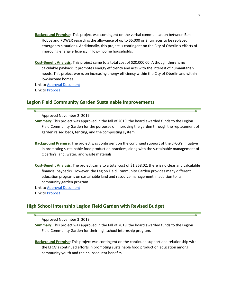- **Background Premise**: This project was contingent on the verbal communication between Ben Hobbs and POWER regarding the allowance of up to \$5,000 or 2 furnaces to be replaced in emergency situations. Additionally, this project is contingent on the City of Oberlin's efforts of improving energy efficiency in low-income households.
- **Cost-Benefit Analysis**: This project came to a total cost of \$20,000.00. Although there is no calculable payback, it promotes energy efficiency and acts with the interest of humanitarian needs. This project works on increasing energy efficiency within the City of Oberlin and within low-income homes.

Link to Approval [Document](https://drive.google.com/file/d/195nHUlduz_sM3zN45s-Vqi44jlSLtc8p/view?usp=sharing) Link to [Proposal](https://drive.google.com/file/d/0B31fVYnjp_9oWm5oYmFqMUFKTzYtNWJ3ODA3aWt4aVFOSlA0/view?usp=sharing)

#### **Legion Field Community Garden Sustainable Improvements**

Approved November 2, 2019

**Summary**: This project was approved in the fall of 2019, the board awarded funds to the Legion Field Community Garden for the purposes of improving the garden through the replacement of garden raised beds, fencing, and the composting system.

- **Background Premise**: The project was contingent on the continued support of the LFCG's initiative in promoting sustainable food production practices, along with the sustainable management of Oberlin's land, water, and waste materials.
- **Cost-Benefit Analysis**: The project came to a total cost of \$1,358.02, there is no clear and calculable financial paybacks. However, the Legion Field Community Garden provides many different education programs on sustainable land and resource management in addition to its community garden program.

Link to **Approval [Document](https://drive.google.com/open?id=1-apmGTCPO7MkSo1PE98R7IGCgGZ-VZac)** 

Link to [Proposal](https://drive.google.com/open?id=1Y84nJYMOQMtnym_fpyvefqm_1xKjh38r)

#### **High School Internship Legion Field Garden with Revised Budget**

Approved November 3, 2019

**Summary**: This project was approved in the fall of 2019, the board awarded funds to the Legion Field Community Garden for their high school internship program.

**Background Premise**: This project was contingent on the continued support and relationship with the LFCG's continued efforts in promoting sustainable food production education among community youth and their subsequent benefits.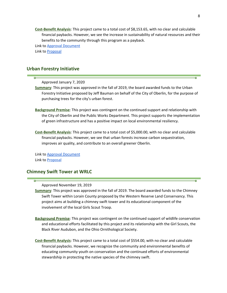**Cost-Benefit Analysis**: This project came to a total cost of \$8,153.65, with no clear and calculable financial paybacks. However, we see the increase in sustainability of natural resources and their benefits to the community through this program as a payback.

Link to Approval [Document](https://drive.google.com/open?id=1JkIQN1S6uh7YrGYNUMUobKZzz5WTtKvZ)

Link to [Proposal](https://drive.google.com/file/d/1RE4JuKdqrhXBuo0QfsEyigKix-bDfjhN/view?usp=sharing)

#### **Urban Forestry Initiative**

Approved January 7, 2020

- **Summary**: This project was approved in the fall of 2019, the board awarded funds to the Urban Forestry Initiative proposed by Jeff Bauman on behalf of the City of Oberlin, for the purpose of purchasing trees for the city's urban forest.
- **Background Premise**: This project was contingent on the continued support and relationship with the City of Oberlin and the Public Works Department. This project supports the implementation of green infrastructure and has a positive impact on local environmental resiliency.
- **Cost-Benefit Analysis**: This project came to a total cost of \$5,000.00, with no clear and calculable financial paybacks. However, we see that urban forests increase carbon sequestration, improves air quality, and contribute to an overall greener Oberlin.

Link to **Approval [Document](https://drive.google.com/open?id=1h7Xaa9pXnRn6bbuApUC0k40DfdRWquYH)** Link to [Proposal](https://drive.google.com/open?id=18f65j_wCnXwDPXFA6b9GPawa9eHCIxjt)

#### **Chimney Swift Tower at WRLC**

Approved November 19, 2019

- **Summary**: This project was approved in the fall of 2019. The board awarded funds to the Chimney Swift Tower within Lorain County proposed by the Western Reserve Land Conservancy. This project aims at building a chimney swift tower and its educational component of the involvement of the local Girls Scout Troop.
- **Background Premise**: This project was contingent on the continued support of wildlife conservation and educational efforts facilitated by this project and its relationship with the Girl Scouts, the Black River Audubon, and the Ohio Ornithological Society.
- **Cost-Benefit Analysis**: This project came to a total cost of \$554.00, with no clear and calculable financial paybacks. However, we recognize the community and environmental benefits of educating community youth on conservation and the continued efforts of environmental stewardship in protecting the native species of the chimney swift.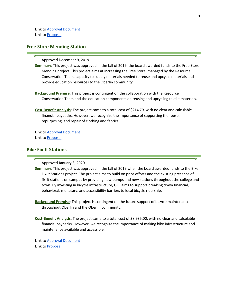Link to Approval [Document](https://drive.google.com/open?id=1Yj4s7vT2QwwcGFQlRAoRII_fRmFh7pDu) Link to [Proposal](https://drive.google.com/open?id=1fYZLcZfDlBS966-Ce56jixOiVFo5Clnq)

#### **Free Store Mending Station**

Approved December 9, 2019

**Summary**: This project was approved in the fall of 2019, the board awarded funds to the Free Store Mending project. This project aims at increasing the Free Store, managed by the Resource Conservation Team, capacity to supply materials needed to reuse and upcycle materials and provide education resources to the Oberlin community.

- **Background Premise**: This project is contingent on the collaboration with the Resource Conservation Team and the education components on reusing and upcycling textile materials.
- **Cost-Benefit Analysis**: The project came to a total cost of \$214.79, with no clear and calculable financial paybacks. However, we recognize the importance of supporting the reuse, repurposing, and repair of clothing and fabrics.

Link to **Approval [Document](https://drive.google.com/open?id=14XW4IFLSJxO45tkXa6JDEbKGRjz86Lxc)** Link to [Proposal](https://drive.google.com/open?id=0B1PP9M3WKkKjMm1TMjMwdG82cDk4cnNKUzJSSzBoQU85b2pr)

#### **Bike Fix-It Stations**

Approved January 8, 2020

**Summary**: This project was approved in the fall of 2019 when the board awarded funds to the Bike Fix-It Stations project. The project aims to build on prior efforts and the existing presence of fix-it stations on campus by providing new pumps and new stations throughout the college and town. By investing in bicycle infrastructure, GEF aims to support breaking down financial, behavioral, monetary, and accessibility barriers to local bicycle ridership.

**Background Premise**: This project is contingent on the future support of bicycle maintenance throughout Oberlin and the Oberlin community.

**Cost-Benefit Analysis**: The project came to a total cost of \$8,935.00, with no clear and calculable financial paybacks. However, we recognize the importance of making bike infrastructure and maintenance available and accessible.

Link to Approval [Document](https://drive.google.com/open?id=1u6xlsyoje3YEPyZbTpY-aMdyDnXc8QsN) Link to [Proposal](https://drive.google.com/open?id=0B31fVYnjp_9oa1NTU0tvZ0tYM2NQbjRTdUNZWWtoX2pYbEpn)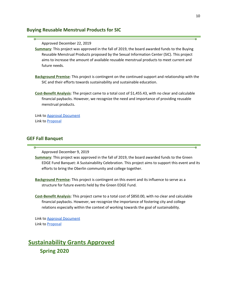#### **Buying Reusable Menstrual Products for SIC**

Approved December 22, 2019

**Summary**: This project was approved in the fall of 2019, the board awarded funds to the Buying Reusable Menstrual Products proposed by the Sexual Information Center (SIC). This project aims to increase the amount of available reusable menstrual products to meet current and future needs.

**Background Premise**: This project is contingent on the continued support and relationship with the SIC and their efforts towards sustainability and sustainable education.

**Cost-Benefit Analysis**: The project came to a total cost of \$1,455.43, with no clear and calculable financial paybacks. However, we recognize the need and importance of providing reusable menstrual products.

Link to **Approval [Document](https://drive.google.com/file/d/1gim5C9UCFCB7L6m95O-rtq7-QE-wi9y8/view?usp=sharing)** Link to [Proposal](https://drive.google.com/open?id=0B31fVYnjp_9oeWg5UW5vWGFXd0tEWTcyMnhOMWlQd25zMWtR)

#### **GEF Fall Banquet**

Approved December 9, 2019

**Summary**: This project was approved in the fall of 2019, the board awarded funds to the Green EDGE Fund Banquet: A Sustainability Celebration. This project aims to support this event and its efforts to bring the Oberlin community and college together.

**Background Premise**: This project is contingent on this event and its influence to serve as a structure for future events held by the Green EDGE Fund.

**Cost-Benefit Analysis**: This project came to a total cost of \$850.00, with no clear and calculable financial paybacks. However, we recognize the importance of fostering city and college relations especially within the context of working towards the goal of sustainability.

Link to Approval [Document](https://drive.google.com/open?id=1USdV5xX1-amBjYbJfnvLnhj6dGLXZQnP) Link to **[Proposal](https://drive.google.com/open?id=1OTqW-b9_7Q_t9XRDXV7IgrQfP3py0xtg)** 

### **Sustainability Grants Approved Spring 2020**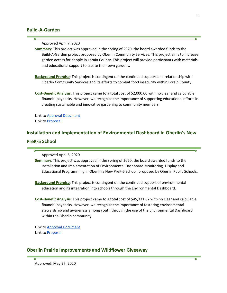#### **Build-A-Garden**

Approved April 7, 2020

**Summary**: This project was approved in the spring of 2020, the board awarded funds to the Build-A-Garden project proposed by Oberlin Community Services. This project aims to increase garden access for people in Lorain County. This project will provide participants with materials and educational support to create their own gardens.

**Background Premise**: This project is contingent on the continued support and relationship with Oberlin Community Services and its efforts to combat food insecurity within Lorain County.

**Cost-Benefit Analysis**: This project came to a total cost of \$2,000.00 with no clear and calculable financial paybacks. However, we recognize the importance of supporting educational efforts in creating sustainable and innovative gardening to community members.

Link to **Approval [Document](https://drive.google.com/open?id=1AWh3eNlSY2c7TBMvxozzx7ipsNwKeS5I)** Link to [Proposal](https://docs.google.com/document/d/1tVQ6zxc54xzoYLbwGCpsx5sXvVINO6NHtUOQyDTySEQ/edit?usp=sharing)

### **Installation and Implementation of Environmental Dashboard in Oberlin's New PreK-5 School**

Approved April 6, 2020

**Summary**: This project was approved in the spring of 2020, the board awarded funds to the Installation and Implementation of Environmental Dashboard Monitoring, Display and Educational Programming in Oberlin's New PreK-5 School, proposed by Oberlin Public Schools.

**Background Premise**: This project is contingent on the continued support of environmental education and its integration into schools through the Environmental Dashboard.

**Cost-Benefit Analysis**: This project came to a total cost of \$45,331.87 with no clear and calculable financial paybacks. However, we recognize the importance of fostering environmental stewardship and awareness among youth through the use of the Environmental Dashboard within the Oberlin community.

Link to **Approval [Document](https://drive.google.com/open?id=1SRh1p5n1mCJaok9dsEFwiaiWsa7TNrTJ)** Link to [Proposal](https://docs.google.com/document/d/1fFRzRXpvZGa-oYAGQvLz4DTlK4AKeR_M2ZDYl7v-DEI/edit?usp=sharing)

#### **Oberlin Prairie Improvements and Wildflower Giveaway**

Approved: May 27, 2020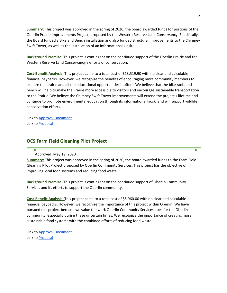**Summary:** This project was approved in the spring of 2020, the board awarded funds for portions of the Oberlin Prairie Improvements Project, proposed by the Western Reserve Land Conservancy. Specifically, the Board funded a Bike and Bench installation and also funded structural improvements to the Chimney Swift Tower, as well as the installation of an informational kiosk.

**Background Premise:** This project is contingent on the continued support of the Oberlin Prairie and the Western Reserve Land Conservancy's efforts of conservation.

**Cost-Benefit Analysis:** This project came to a total cost of \$13,519.90 with no clear and calculable financial paybacks. However, we recognize the benefits of encouraging more community members to explore the prairie and all the educational opportunities it offers. We believe that the bike rack, and bench will help to make the Prairie more accessible to visitors and encourage sustainable transportation to the Prairie. We believe the Chimney Swift Tower improvements will extend the project's lifetime and continue to promote environmental education through its informational kiosk, and will support wildlife conservation efforts.

Link to **Approval [Document](https://drive.google.com/file/d/17YaEsyaDzwO_UliYyQp2FCrK7cTY_6f3/view?usp=sharing)** Link to [Proposal](https://docs.google.com/document/d/1qvwwiBFFCJwINwwIZVg23567JYVsxWxEgIY9ygjbhjI/edit?usp=sharing)

õ

#### **OCS Farm Field Gleaning Pilot Project**

Approved: May 19, 2020

**Summary:** This project was approved in the spring of 2020, the board awarded funds to the Farm Field Gleaning Pilot Project proposed by Oberlin Community Services. This project has the objective of improving local food systems and reducing food waste.

**Background Premise:** This project is contingent on the continued support of Oberlin Community Services and its efforts to support the Oberlin community.

**Cost-Benefit Analysis:** This project came to a total cost of \$5,960.00 with no clear and calculable financial paybacks. However, we recognize the importance of this project within Oberlin. We have pursued this project because we value the work Oberlin Community Services does for the Oberlin community, especially during these uncertain times. We recognize the importance of creating more sustainable food systems with the combined efforts of reducing food waste.

Link to **Approval [Document](https://drive.google.com/file/d/1K5rk4Qy8PMsuGLyc4Lg0LKLEvOMiQFLz/view?usp=sharing)** Link to **[Proposal](https://drive.google.com/open?id=1qelMOyTX6taHiepavX36ijovReuW6oFm)**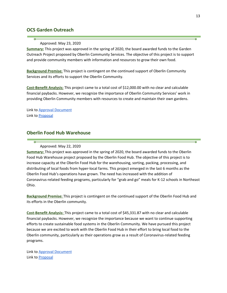#### **OCS Garden Outreach**

#### Approved: May 23, 2020

**Summary:** This project was approved in the spring of 2020, the board awarded funds to the Garden Outreach Project proposed by Oberlin Community Services. The objective of this project is to support and provide community members with information and resources to grow their own food.

**Background Premise:** This project is contingent on the continued support of Oberlin Community Services and its efforts to support the Oberlin Community.

**Cost-Benefit Analysis:** This project came to a total cost of \$12,000.00 with no clear and calculable financial paybacks. However, we recognize the importance of Oberlin Community Services' work in providing Oberlin Community members with resources to create and maintain their own gardens.

Link to **Approval [Document](https://drive.google.com/file/d/17DxOsmTyRIPhSAKEZgq5xwgQtBndE846/view?usp=sharing)** Link to **[Proposal](https://drive.google.com/open?id=1imEyu0SCRX75Wog-YE8_lyKFTe7WHJZZ)** 

#### **Oberlin Food Hub Warehouse**

#### Approved: May 22, 2020

**Summary:** This project was approved in the spring of 2020, the board awarded funds to the Oberlin Food Hub Warehouse project proposed by the Oberlin Food Hub. The objective of this project is to increase capacity at the Oberlin Food Hub for the warehousing, sorting, packing, processing, and distributing of local foods from hyper-local farms. This project emerged in the last 6 months as the Oberlin Food Hub's operations have grown. The need has increased with the addition of Coronavirus-related feeding programs, particularly for "grab and go" meals for K-12 schools in Northeast Ohio.

**Background Premise:** This project is contingent on the continued support of the Oberlin Food Hub and its efforts in the Oberlin community.

**Cost-Benefit Analysis:** This project came to a total cost of \$45,331.87 with no clear and calculable financial paybacks. However, we recognize the importance because we want to continue supporting efforts to create sustainable food systems in the Oberlin Community. We have pursued this project because we are excited to work with the Oberlin Food Hub in their effort to bring local food to the Oberlin community, particularly as their operations grow as a result of Coronavirus-related feeding programs.

Link to **Approval [Document](https://drive.google.com/file/d/1lzN_X1fjkaXLMGSXFE5G-NqMLdscuSRr/view?usp=sharing)** Link to [Proposal](https://drive.google.com/open?id=1wlbx7Hhu1770FcqiC1yz6ZRRghGC96pz)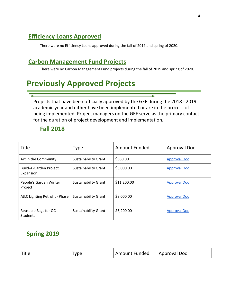# <span id="page-13-0"></span>**Efficiency Loans Approved**

There were no Efficiency Loans approved during the fall of 2019 and spring of 2020.

### <span id="page-13-1"></span>**Carbon Management Fund Projects**

There were no Carbon Management Fund projects during the fall of 2019 and spring of 2020.

# <span id="page-13-2"></span>**Previously Approved Projects**

Projects that have been officially approved by the GEF during the 2018 - 2019 academic year and either have been implemented or are in the process of being implemented. Project managers on the GEF serve as the primary contact for the duration of project development and implementation.

### **Fall 2018**

| <b>Title</b>                            | <b>Type</b>                 | <b>Amount Funded</b> | <b>Approval Doc</b> |
|-----------------------------------------|-----------------------------|----------------------|---------------------|
| Art in the Community                    | <b>Sustainability Grant</b> | \$360.00             | <b>Approval Doc</b> |
| Build-A-Garden Project<br>Expansion     | <b>Sustainability Grant</b> | \$3,000.00           | <b>Approval Doc</b> |
| People's Garden Winter<br>Project       | <b>Sustainability Grant</b> | \$11,200.00          | <b>Approval Doc</b> |
| AJLC Lighting Retrofit - Phase<br>Ш     | <b>Sustainability Grant</b> | \$8,000.00           | <b>Approval Doc</b> |
| Reusable Bags for OC<br><b>Students</b> | <b>Sustainability Grant</b> | \$6,200.00           | <b>Approval Doc</b> |

## **Spring 2019**

| Title | Type | Amount Funded | Approval Doc |
|-------|------|---------------|--------------|
|-------|------|---------------|--------------|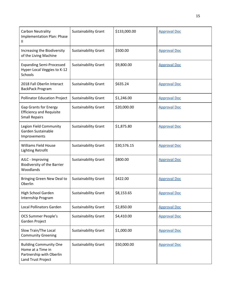| Carbon Neutrality<br><b>Implementation Plan: Phase</b><br>Ш                                          | <b>Sustainability Grant</b> | \$133,000.00 | <b>Approval Doc</b> |
|------------------------------------------------------------------------------------------------------|-----------------------------|--------------|---------------------|
| Increasing the Biodiversity<br>of the Living Machine                                                 | <b>Sustainability Grant</b> | \$500.00     | <b>Approval Doc</b> |
| <b>Expanding Semi-Processed</b><br>Hyper-Local Veggies to K-12<br>Schools                            | <b>Sustainability Grant</b> | \$9,800.00   | <b>Approval Doc</b> |
| 2018 Fall Oberlin Interact<br>BackPack Program                                                       | <b>Sustainability Grant</b> | \$635.24     | <b>Approval Doc</b> |
| <b>Pollinator Education Project</b>                                                                  | <b>Sustainability Grant</b> | \$1,246.00   | <b>Approval Doc</b> |
| <b>Gap Grants for Energy</b><br><b>Efficiency and Requisite</b><br><b>Small Repairs</b>              | <b>Sustainability Grant</b> | \$20,000.00  | <b>Approval Doc</b> |
| Legion Field Community<br>Garden Sustainable<br>Improvements                                         | <b>Sustainability Grant</b> | \$1,875.80   | <b>Approval Doc</b> |
| Williams Field House<br><b>Lighting Retrofit</b>                                                     | <b>Sustainability Grant</b> | \$30,576.15  | <b>Approval Doc</b> |
| AJLC - Improving<br><b>Biodiversity of the Barrier</b><br>Woodlands                                  | <b>Sustainability Grant</b> | \$800.00     | <b>Approval Doc</b> |
| Bringing Green New Deal to<br>Oberlin                                                                | <b>Sustainability Grant</b> | \$422.00     | <b>Approval Doc</b> |
| High School Garden<br>Internship Program                                                             | <b>Sustainability Grant</b> | \$8,153.65   | <b>Approval Doc</b> |
| <b>Local Pollinators Garden</b>                                                                      | <b>Sustainability Grant</b> | \$2,850.00   | <b>Approval Doc</b> |
| <b>OCS Summer People's</b><br>Garden Project                                                         | <b>Sustainability Grant</b> | \$4,410.00   | <b>Approval Doc</b> |
| Slow Train/The Local<br><b>Community Greening</b>                                                    | <b>Sustainability Grant</b> | \$1,000.00   | <b>Approval Doc</b> |
| <b>Building Community One</b><br>Home at a Time in<br>Partnership with Oberlin<br>Land Trust Project | <b>Sustainability Grant</b> | \$50,000.00  | <b>Approval Doc</b> |